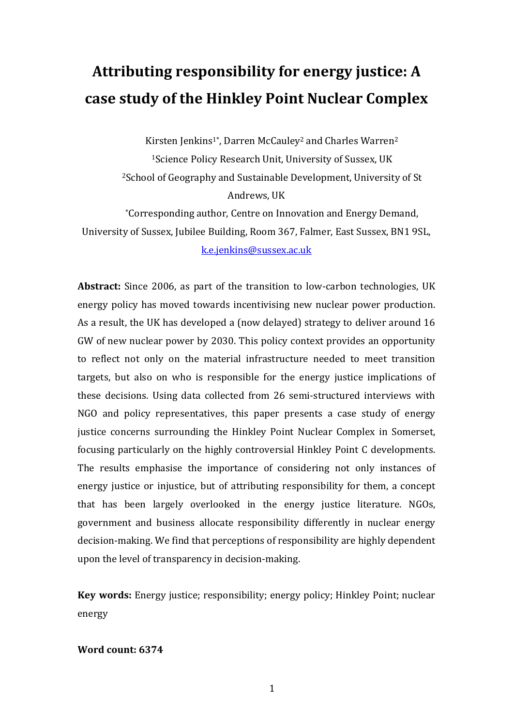# **Attributing responsibility for energy justice: A case study of the Hinkley Point Nuclear Complex**

Kirsten Jenkins<sup>1\*</sup>, Darren McCauley<sup>2</sup> and Charles Warren<sup>2</sup> <sup>1</sup>Science Policy Research Unit, University of Sussex, UK <sup>2</sup>School of Geography and Sustainable Development, University of St Andrews, UK \*Corresponding author, Centre on Innovation and Energy Demand, University of Sussex, Jubilee Building, Room 367, Falmer, East Sussex, BN1 9SL,

k.e.jenkins@sussex.ac.uk

Abstract: Since 2006, as part of the transition to low-carbon technologies, UK energy policy has moved towards incentivising new nuclear power production. As a result, the UK has developed a (now delayed) strategy to deliver around 16 GW of new nuclear power by 2030. This policy context provides an opportunity to reflect not only on the material infrastructure needed to meet transition targets, but also on who is responsible for the energy justice implications of these decisions. Using data collected from 26 semi-structured interviews with NGO and policy representatives, this paper presents a case study of energy justice concerns surrounding the Hinkley Point Nuclear Complex in Somerset, focusing particularly on the highly controversial Hinkley Point C developments. The results emphasise the importance of considering not only instances of energy justice or injustice, but of attributing responsibility for them, a concept that has been largely overlooked in the energy justice literature. NGOs, government and business allocate responsibility differently in nuclear energy decision-making. We find that perceptions of responsibility are highly dependent upon the level of transparency in decision-making.

**Key words:** Energy justice; responsibility; energy policy; Hinkley Point; nuclear energy

# Word count: 6374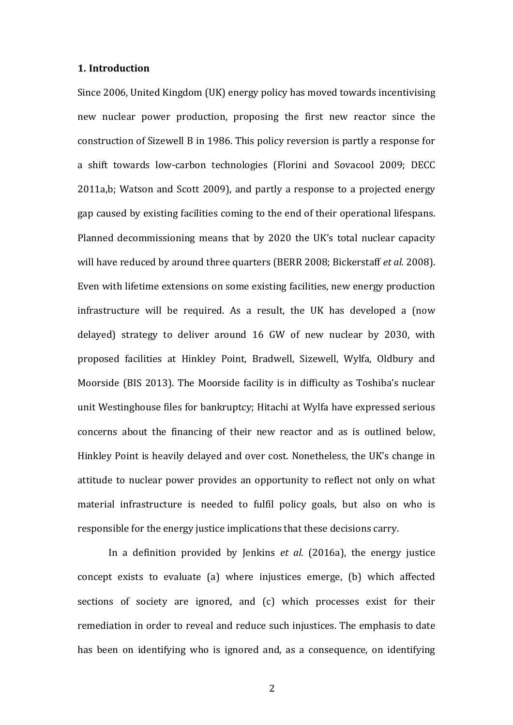#### **1. Introduction**

Since 2006, United Kingdom (UK) energy policy has moved towards incentivising new nuclear power production, proposing the first new reactor since the construction of Sizewell B in 1986. This policy reversion is partly a response for a shift towards low-carbon technologies (Florini and Sovacool 2009; DECC 2011a,b; Watson and Scott 2009), and partly a response to a projected energy gap caused by existing facilities coming to the end of their operational lifespans. Planned decommissioning means that by 2020 the UK's total nuclear capacity will have reduced by around three quarters (BERR 2008; Bickerstaff *et al.* 2008). Even with lifetime extensions on some existing facilities, new energy production infrastructure will be required. As a result, the UK has developed a (now delayed) strategy to deliver around  $16$  GW of new nuclear by 2030, with proposed facilities at Hinkley Point, Bradwell, Sizewell, Wylfa, Oldbury and Moorside (BIS 2013). The Moorside facility is in difficulty as Toshiba's nuclear unit Westinghouse files for bankruptcy; Hitachi at Wylfa have expressed serious concerns about the financing of their new reactor and as is outlined below, Hinkley Point is heavily delayed and over cost. Nonetheless, the UK's change in attitude to nuclear power provides an opportunity to reflect not only on what material infrastructure is needed to fulfil policy goals, but also on who is responsible for the energy justice implications that these decisions carry.

In a definition provided by Jenkins *et al.* (2016a), the energy justice concept exists to evaluate (a) where injustices emerge, (b) which affected sections of society are ignored, and (c) which processes exist for their remediation in order to reveal and reduce such injustices. The emphasis to date has been on identifying who is ignored and, as a consequence, on identifying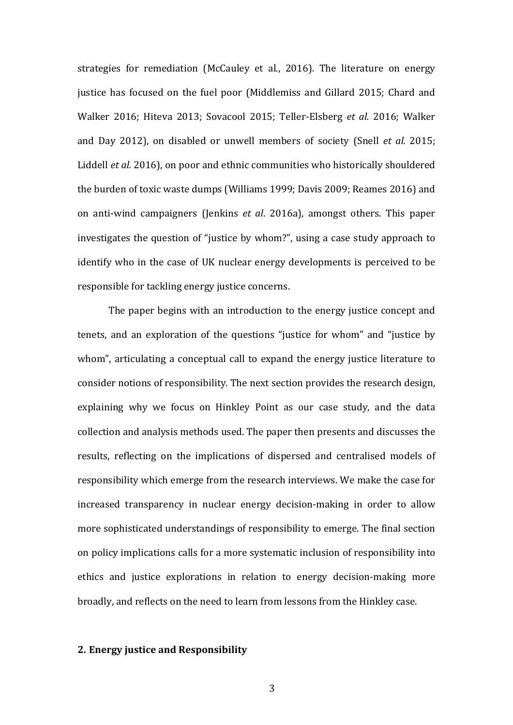strategies for remediation (McCauley et al., 2016). The literature on energy justice has focused on the fuel poor (Middlemiss and Gillard 2015; Chard and Walker 2016; Hiteva 2013; Sovacool 2015; Teller-Elsberg *et al.* 2016; Walker and Day 2012), on disabled or unwell members of society (Snell *et al.* 2015; Liddell *et al.* 2016), on poor and ethnic communities who historically shouldered the burden of toxic waste dumps (Williams 1999; Davis 2009; Reames 2016) and on anti-wind campaigners (Jenkins *et al.* 2016a), amongst others. This paper investigates the question of "justice by whom?", using a case study approach to identify who in the case of UK nuclear energy developments is perceived to be responsible for tackling energy justice concerns.

The paper begins with an introduction to the energy justice concept and tenets, and an exploration of the questions "justice for whom" and "justice by whom", articulating a conceptual call to expand the energy justice literature to consider notions of responsibility. The next section provides the research design, explaining why we focus on Hinkley Point as our case study, and the data collection and analysis methods used. The paper then presents and discusses the results, reflecting on the implications of dispersed and centralised models of responsibility which emerge from the research interviews. We make the case for increased transparency in nuclear energy decision-making in order to allow more sophisticated understandings of responsibility to emerge. The final section on policy implications calls for a more systematic inclusion of responsibility into ethics and justice explorations in relation to energy decision-making more broadly, and reflects on the need to learn from lessons from the Hinkley case.

#### **2. Energy justice and Responsibility**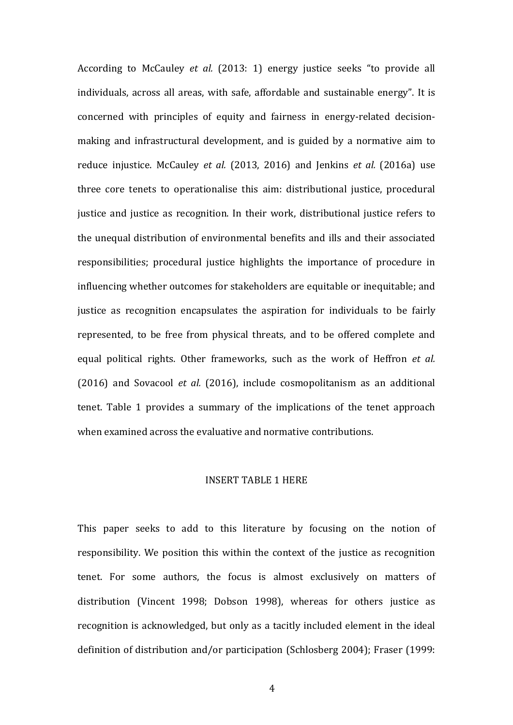According to McCauley *et al.* (2013: 1) energy justice seeks "to provide all individuals, across all areas, with safe, affordable and sustainable energy". It is concerned with principles of equity and fairness in energy-related decisionmaking and infrastructural development, and is guided by a normative aim to reduce injustice. McCauley *et al.* (2013, 2016) and Jenkins *et al.* (2016a) use three core tenets to operationalise this aim: distributional justice, procedural justice and justice as recognition. In their work, distributional justice refers to the unequal distribution of environmental benefits and ills and their associated responsibilities; procedural justice highlights the importance of procedure in influencing whether outcomes for stakeholders are equitable or inequitable; and justice as recognition encapsulates the aspiration for individuals to be fairly represented, to be free from physical threats, and to be offered complete and equal political rights. Other frameworks, such as the work of Heffron *et al.* (2016) and Sovacool *et al.* (2016), include cosmopolitanism as an additional tenet. Table 1 provides a summary of the implications of the tenet approach when examined across the evaluative and normative contributions.

#### INSERT TABLE 1 HERE

This paper seeks to add to this literature by focusing on the notion of responsibility. We position this within the context of the justice as recognition tenet. For some authors, the focus is almost exclusively on matters of distribution (Vincent 1998; Dobson 1998), whereas for others justice as recognition is acknowledged, but only as a tacitly included element in the ideal definition of distribution and/or participation (Schlosberg 2004); Fraser (1999: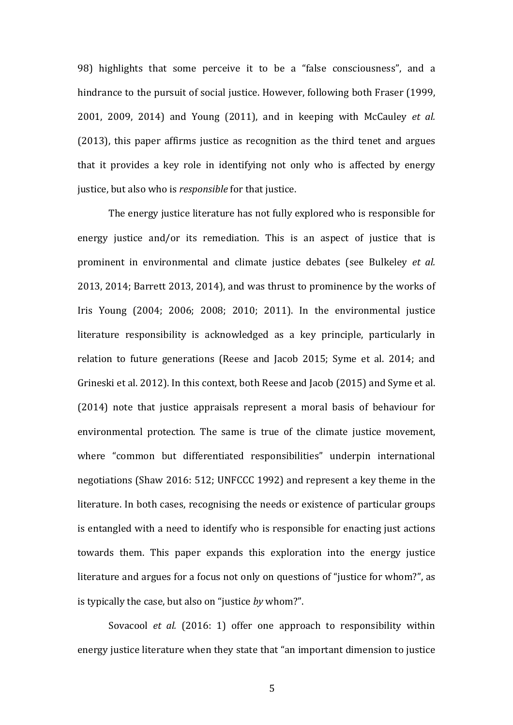98) highlights that some perceive it to be a "false consciousness", and a hindrance to the pursuit of social justice. However, following both Fraser (1999, 2001, 2009, 2014) and Young (2011), and in keeping with McCauley *et al.*  $(2013)$ , this paper affirms justice as recognition as the third tenet and argues that it provides a key role in identifying not only who is affected by energy justice, but also who is *responsible* for that justice.

The energy justice literature has not fully explored who is responsible for energy justice and/or its remediation. This is an aspect of justice that is prominent in environmental and climate justice debates (see Bulkeley *et al.* 2013, 2014; Barrett  $2013$ , 2014), and was thrust to prominence by the works of Iris Young  $(2004; 2006; 2008; 2010; 2011)$ . In the environmental justice literature responsibility is acknowledged as a key principle, particularly in relation to future generations (Reese and Jacob 2015; Syme et al. 2014; and Grineski et al. 2012). In this context, both Reese and Jacob (2015) and Syme et al.  $(2014)$  note that justice appraisals represent a moral basis of behaviour for environmental protection. The same is true of the climate justice movement, where "common but differentiated responsibilities" underpin international negotiations (Shaw 2016: 512; UNFCCC 1992) and represent a key theme in the literature. In both cases, recognising the needs or existence of particular groups is entangled with a need to identify who is responsible for enacting just actions towards them. This paper expands this exploration into the energy justice literature and argues for a focus not only on questions of "justice for whom?", as is typically the case, but also on "justice by whom?".

Sovacool *et al.* (2016: 1) offer one approach to responsibility within energy justice literature when they state that "an important dimension to justice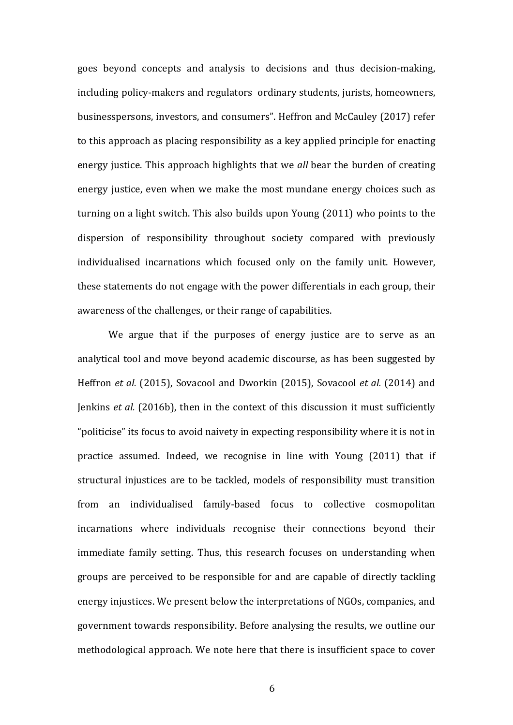goes beyond concepts and analysis to decisions and thus decision-making, including policy-makers and regulators ordinary students, jurists, homeowners, businesspersons, investors, and consumers". Heffron and McCauley (2017) refer to this approach as placing responsibility as a key applied principle for enacting energy justice. This approach highlights that we *all* bear the burden of creating energy justice, even when we make the most mundane energy choices such as turning on a light switch. This also builds upon Young  $(2011)$  who points to the dispersion of responsibility throughout society compared with previously individualised incarnations which focused only on the family unit. However, these statements do not engage with the power differentials in each group, their awareness of the challenges, or their range of capabilities.

We argue that if the purposes of energy justice are to serve as an analytical tool and move beyond academic discourse, as has been suggested by Heffron *et al.* (2015), Sovacool and Dworkin (2015), Sovacool *et al.* (2014) and Jenkins *et al.* (2016b), then in the context of this discussion it must sufficiently "politicise" its focus to avoid naivety in expecting responsibility where it is not in practice assumed. Indeed, we recognise in line with Young (2011) that if structural injustices are to be tackled, models of responsibility must transition from an individualised family-based focus to collective cosmopolitan incarnations where individuals recognise their connections beyond their immediate family setting. Thus, this research focuses on understanding when groups are perceived to be responsible for and are capable of directly tackling energy injustices. We present below the interpretations of NGOs, companies, and government towards responsibility. Before analysing the results, we outline our methodological approach. We note here that there is insufficient space to cover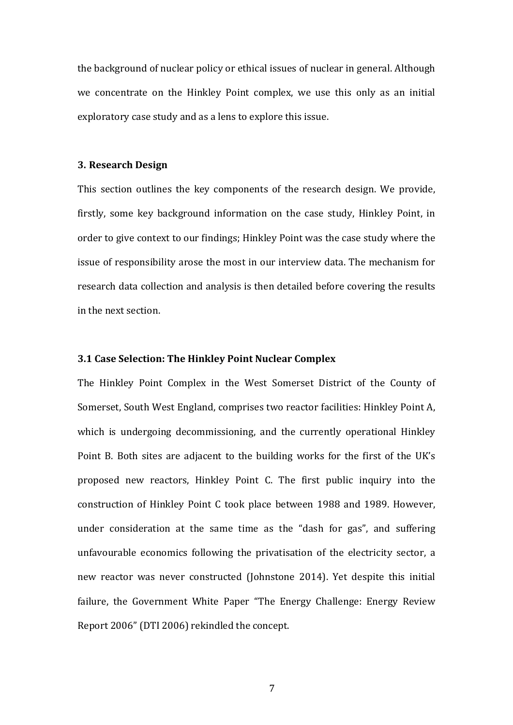the background of nuclear policy or ethical issues of nuclear in general. Although we concentrate on the Hinkley Point complex, we use this only as an initial exploratory case study and as a lens to explore this issue.

## **3. Research Design**

This section outlines the key components of the research design. We provide, firstly, some key background information on the case study, Hinkley Point, in order to give context to our findings; Hinkley Point was the case study where the issue of responsibility arose the most in our interview data. The mechanism for research data collection and analysis is then detailed before covering the results in the next section.

## **3.1 Case Selection: The Hinkley Point Nuclear Complex**

The Hinkley Point Complex in the West Somerset District of the County of Somerset, South West England, comprises two reactor facilities: Hinkley Point A, which is undergoing decommissioning, and the currently operational Hinkley Point B. Both sites are adjacent to the building works for the first of the UK's proposed new reactors, Hinkley Point C. The first public inquiry into the construction of Hinkley Point C took place between 1988 and 1989. However, under consideration at the same time as the "dash for gas", and suffering unfavourable economics following the privatisation of the electricity sector, a new reactor was never constructed (Johnstone 2014). Yet despite this initial failure, the Government White Paper "The Energy Challenge: Energy Review Report 2006" (DTI 2006) rekindled the concept.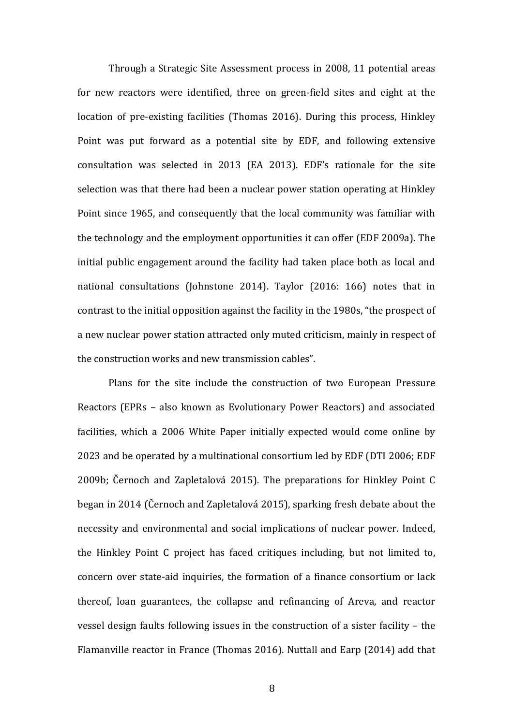Through a Strategic Site Assessment process in 2008, 11 potential areas for new reactors were identified, three on green-field sites and eight at the location of pre-existing facilities (Thomas 2016). During this process, Hinkley Point was put forward as a potential site by EDF, and following extensive consultation was selected in 2013 (EA 2013). EDF's rationale for the site selection was that there had been a nuclear power station operating at Hinkley Point since 1965, and consequently that the local community was familiar with the technology and the employment opportunities it can offer (EDF 2009a). The initial public engagement around the facility had taken place both as local and national consultations (Johnstone 2014). Taylor (2016: 166) notes that in contrast to the initial opposition against the facility in the 1980s, "the prospect of a new nuclear power station attracted only muted criticism, mainly in respect of the construction works and new transmission cables".

Plans for the site include the construction of two European Pressure Reactors (EPRs - also known as Evolutionary Power Reactors) and associated facilities, which a 2006 White Paper initially expected would come online by 2023 and be operated by a multinational consortium led by EDF (DTI 2006; EDF 2009b; Černoch and Zapletalová 2015). The preparations for Hinkley Point C began in 2014 (Černoch and Zapletalová 2015), sparking fresh debate about the necessity and environmental and social implications of nuclear power. Indeed, the Hinkley Point C project has faced critiques including, but not limited to, concern over state-aid inquiries, the formation of a finance consortium or lack thereof, loan guarantees, the collapse and refinancing of Areva, and reactor vessel design faults following issues in the construction of a sister facility  $-$  the Flamanville reactor in France (Thomas 2016). Nuttall and Earp (2014) add that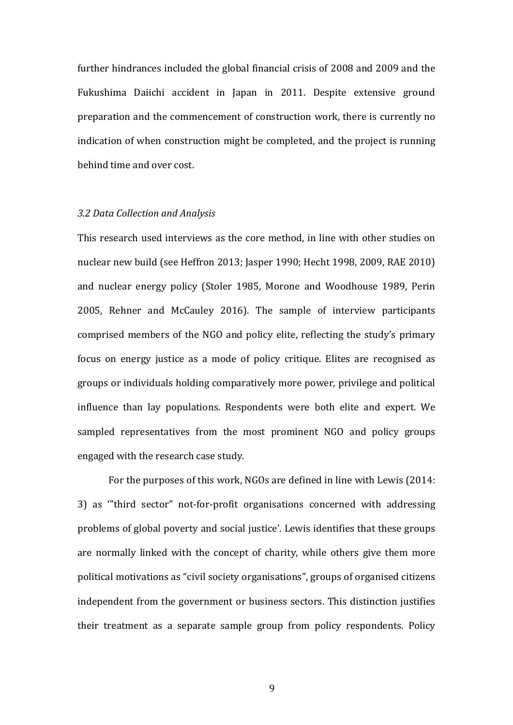further hindrances included the global financial crisis of 2008 and 2009 and the Fukushima Daiichi accident in Japan in 2011. Despite extensive ground preparation and the commencement of construction work, there is currently no indication of when construction might be completed, and the project is running behind time and over cost.

## *3.2 Data Collection and Analysis*

This research used interviews as the core method, in line with other studies on nuclear new build (see Heffron 2013; Jasper 1990; Hecht 1998, 2009, RAE 2010) and nuclear energy policy (Stoler 1985, Morone and Woodhouse 1989, Perin 2005, Rehner and McCauley 2016). The sample of interview participants comprised members of the NGO and policy elite, reflecting the study's primary focus on energy justice as a mode of policy critique. Elites are recognised as groups or individuals holding comparatively more power, privilege and political influence than lay populations. Respondents were both elite and expert. We sampled representatives from the most prominent NGO and policy groups engaged with the research case study.

For the purposes of this work, NGOs are defined in line with Lewis (2014: 3) as "third sector" not-for-profit organisations concerned with addressing problems of global poverty and social justice'. Lewis identifies that these groups are normally linked with the concept of charity, while others give them more political motivations as "civil society organisations", groups of organised citizens independent from the government or business sectors. This distinction justifies their treatment as a separate sample group from policy respondents. Policy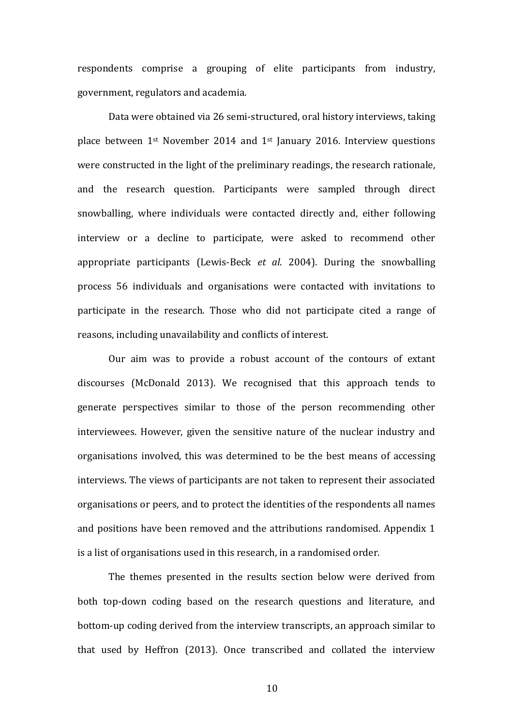respondents comprise a grouping of elite participants from industry, government, regulators and academia.

Data were obtained via 26 semi-structured, oral history interviews, taking place between  $1^{st}$  November 2014 and  $1^{st}$  January 2016. Interview questions were constructed in the light of the preliminary readings, the research rationale, and the research question. Participants were sampled through direct snowballing, where individuals were contacted directly and, either following interview or a decline to participate, were asked to recommend other appropriate participants (Lewis-Beck *et al.* 2004). During the snowballing process 56 individuals and organisations were contacted with invitations to participate in the research. Those who did not participate cited a range of reasons, including unavailability and conflicts of interest.

Our aim was to provide a robust account of the contours of extant discourses (McDonald 2013). We recognised that this approach tends to generate perspectives similar to those of the person recommending other interviewees. However, given the sensitive nature of the nuclear industry and organisations involved, this was determined to be the best means of accessing interviews. The views of participants are not taken to represent their associated organisations or peers, and to protect the identities of the respondents all names and positions have been removed and the attributions randomised. Appendix 1 is a list of organisations used in this research, in a randomised order.

The themes presented in the results section below were derived from both top-down coding based on the research questions and literature, and bottom-up coding derived from the interview transcripts, an approach similar to that used by Heffron  $(2013)$ . Once transcribed and collated the interview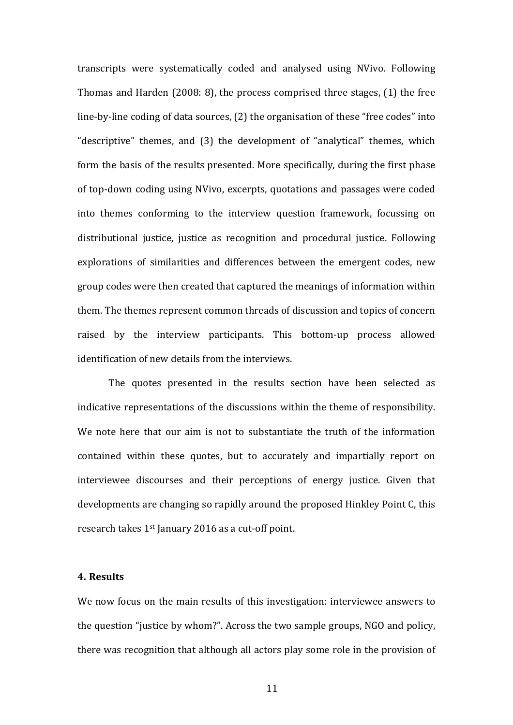transcripts were systematically coded and analysed using NVivo. Following Thomas and Harden  $(2008: 8)$ , the process comprised three stages,  $(1)$  the free line-by-line coding of data sources,  $(2)$  the organisation of these "free codes" into "descriptive" themes, and (3) the development of "analytical" themes, which form the basis of the results presented. More specifically, during the first phase of top-down coding using NVivo, excerpts, quotations and passages were coded into themes conforming to the interview question framework, focussing on distributional justice, justice as recognition and procedural justice. Following explorations of similarities and differences between the emergent codes, new group codes were then created that captured the meanings of information within them. The themes represent common threads of discussion and topics of concern raised by the interview participants. This bottom-up process allowed identification of new details from the interviews.

The quotes presented in the results section have been selected as indicative representations of the discussions within the theme of responsibility. We note here that our aim is not to substantiate the truth of the information contained within these quotes, but to accurately and impartially report on interviewee discourses and their perceptions of energy justice. Given that developments are changing so rapidly around the proposed Hinkley Point C, this research takes  $1<sup>st</sup>$  January 2016 as a cut-off point.

#### **4. Results**

We now focus on the main results of this investigation: interviewee answers to the question "justice by whom?". Across the two sample groups, NGO and policy, there was recognition that although all actors play some role in the provision of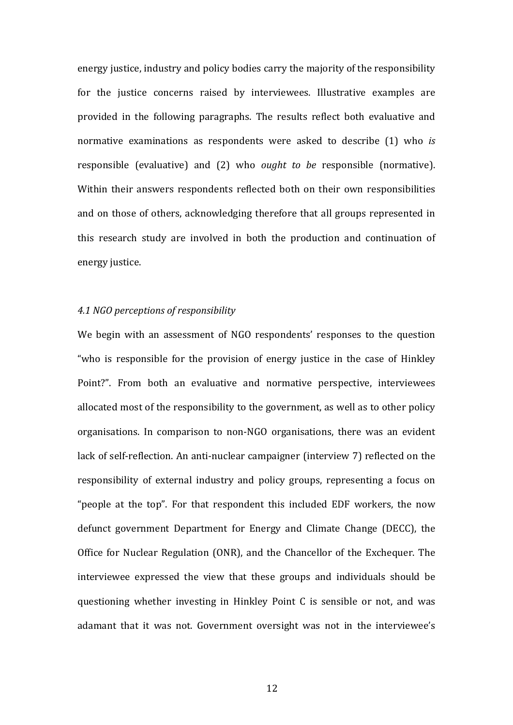energy justice, industry and policy bodies carry the majority of the responsibility for the justice concerns raised by interviewees. Illustrative examples are provided in the following paragraphs. The results reflect both evaluative and normative examinations as respondents were asked to describe (1) who *is* responsible (evaluative) and (2) who *ought to be* responsible (normative). Within their answers respondents reflected both on their own responsibilities and on those of others, acknowledging therefore that all groups represented in this research study are involved in both the production and continuation of energy justice.

## *4.1 NGO perceptions of responsibility*

We begin with an assessment of NGO respondents' responses to the question "who is responsible for the provision of energy justice in the case of Hinkley Point?". From both an evaluative and normative perspective, interviewees allocated most of the responsibility to the government, as well as to other policy organisations. In comparison to non-NGO organisations, there was an evident lack of self-reflection. An anti-nuclear campaigner (interview 7) reflected on the responsibility of external industry and policy groups, representing a focus on "people at the top". For that respondent this included EDF workers, the now defunct government Department for Energy and Climate Change (DECC), the Office for Nuclear Regulation (ONR), and the Chancellor of the Exchequer. The interviewee expressed the view that these groups and individuals should be questioning whether investing in Hinkley Point C is sensible or not, and was adamant that it was not. Government oversight was not in the interviewee's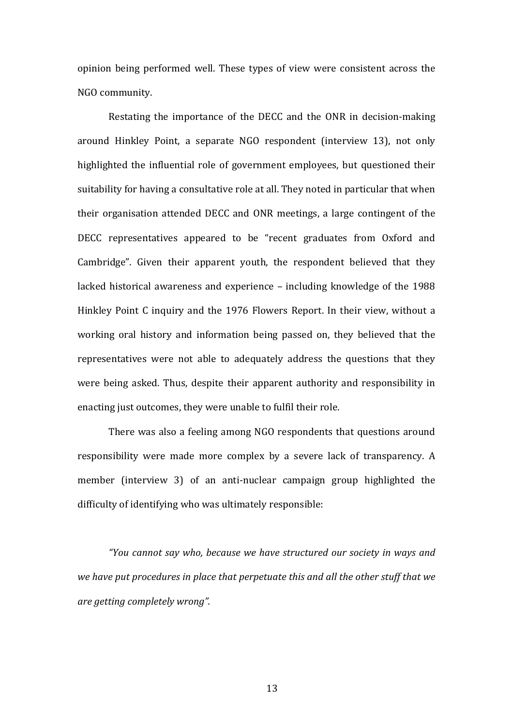opinion being performed well. These types of view were consistent across the NGO community.

Restating the importance of the DECC and the ONR in decision-making around Hinkley Point, a separate NGO respondent (interview 13), not only highlighted the influential role of government employees, but questioned their suitability for having a consultative role at all. They noted in particular that when their organisation attended DECC and ONR meetings, a large contingent of the DECC representatives appeared to be "recent graduates from Oxford and Cambridge". Given their apparent youth, the respondent believed that they lacked historical awareness and experience  $-$  including knowledge of the 1988 Hinkley Point C inquiry and the 1976 Flowers Report. In their view, without a working oral history and information being passed on, they believed that the representatives were not able to adequately address the questions that they were being asked. Thus, despite their apparent authority and responsibility in enacting just outcomes, they were unable to fulfil their role.

There was also a feeling among NGO respondents that questions around responsibility were made more complex by a severe lack of transparency. A member (interview 3) of an anti-nuclear campaign group highlighted the difficulty of identifying who was ultimately responsible:

*"You cannot say who, because we have structured our society in ways and we have put procedures in place that perpetuate this and all the other stuff that we are getting completely wrong".*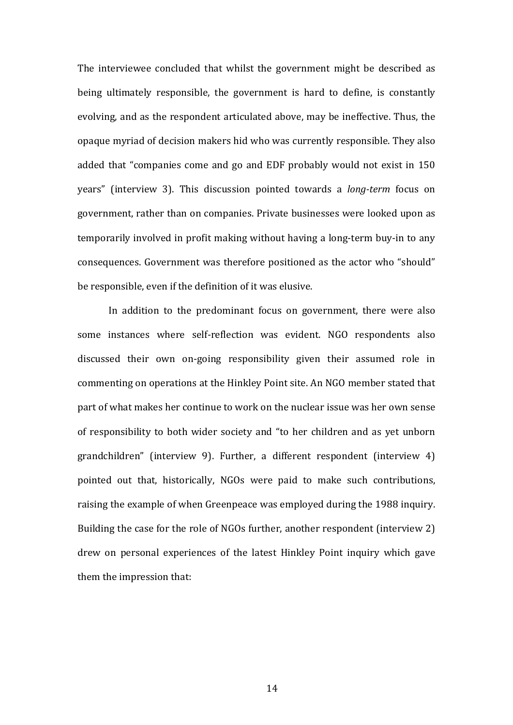The interviewee concluded that whilst the government might be described as being ultimately responsible, the government is hard to define, is constantly evolving, and as the respondent articulated above, may be ineffective. Thus, the opaque myriad of decision makers hid who was currently responsible. They also added that "companies come and go and EDF probably would not exist in 150 years" (interview 3). This discussion pointed towards a *long-term* focus on government, rather than on companies. Private businesses were looked upon as temporarily involved in profit making without having a long-term buy-in to any consequences. Government was therefore positioned as the actor who "should" be responsible, even if the definition of it was elusive.

In addition to the predominant focus on government, there were also some instances where self-reflection was evident. NGO respondents also discussed their own on-going responsibility given their assumed role in commenting on operations at the Hinkley Point site. An NGO member stated that part of what makes her continue to work on the nuclear issue was her own sense of responsibility to both wider society and "to her children and as yet unborn grandchildren" (interview 9). Further, a different respondent (interview 4) pointed out that, historically, NGOs were paid to make such contributions, raising the example of when Greenpeace was employed during the 1988 inquiry. Building the case for the role of NGOs further, another respondent (interview 2) drew on personal experiences of the latest Hinkley Point inquiry which gave them the impression that: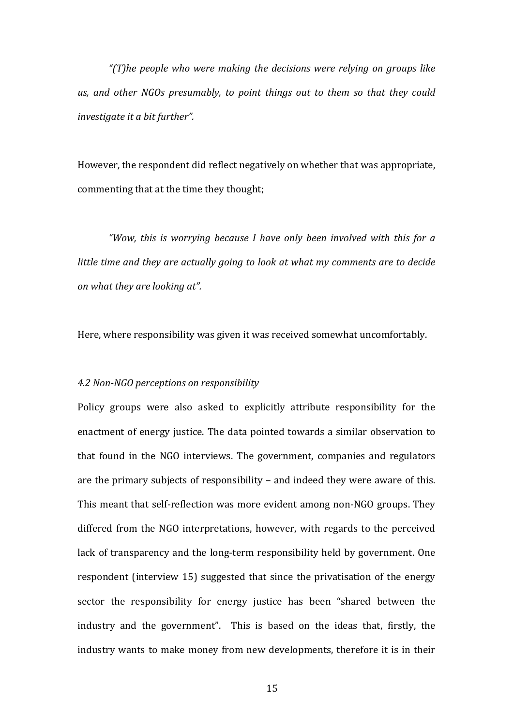*"(T)he people who were making the decisions were relying on groups like*  us, and other NGOs presumably, to point things out to them so that they could *investigate it a bit further".* 

However, the respondent did reflect negatively on whether that was appropriate, commenting that at the time they thought;

"Wow, this is worrying because I have only been involved with this for a *little time and they are actually going to look at what my comments are to decide on* what they are looking at".

Here, where responsibility was given it was received somewhat uncomfortably.

### *4.2 Non-NGO perceptions on responsibility*

Policy groups were also asked to explicitly attribute responsibility for the enactment of energy justice. The data pointed towards a similar observation to that found in the NGO interviews. The government, companies and regulators are the primary subjects of responsibility  $-$  and indeed they were aware of this. This meant that self-reflection was more evident among non-NGO groups. They differed from the NGO interpretations, however, with regards to the perceived lack of transparency and the long-term responsibility held by government. One respondent (interview 15) suggested that since the privatisation of the energy sector the responsibility for energy justice has been "shared between the industry and the government". This is based on the ideas that, firstly, the industry wants to make money from new developments, therefore it is in their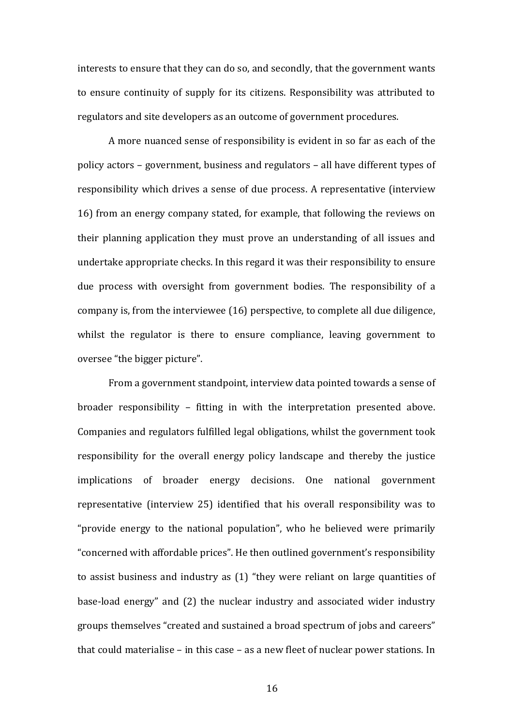interests to ensure that they can do so, and secondly, that the government wants to ensure continuity of supply for its citizens. Responsibility was attributed to regulators and site developers as an outcome of government procedures.

A more nuanced sense of responsibility is evident in so far as each of the policy actors – government, business and regulators – all have different types of responsibility which drives a sense of due process. A representative (interview 16) from an energy company stated, for example, that following the reviews on their planning application they must prove an understanding of all issues and undertake appropriate checks. In this regard it was their responsibility to ensure due process with oversight from government bodies. The responsibility of a company is, from the interviewee  $(16)$  perspective, to complete all due diligence, whilst the regulator is there to ensure compliance, leaving government to oversee "the bigger picture".

From a government standpoint, interview data pointed towards a sense of broader responsibility – fitting in with the interpretation presented above. Companies and regulators fulfilled legal obligations, whilst the government took responsibility for the overall energy policy landscape and thereby the justice implications of broader energy decisions. One national government representative (interview 25) identified that his overall responsibility was to "provide energy to the national population", who he believed were primarily "concerned with affordable prices". He then outlined government's responsibility to assist business and industry as  $(1)$  "they were reliant on large quantities of base-load energy" and (2) the nuclear industry and associated wider industry groups themselves "created and sustained a broad spectrum of jobs and careers" that could materialise – in this case – as a new fleet of nuclear power stations. In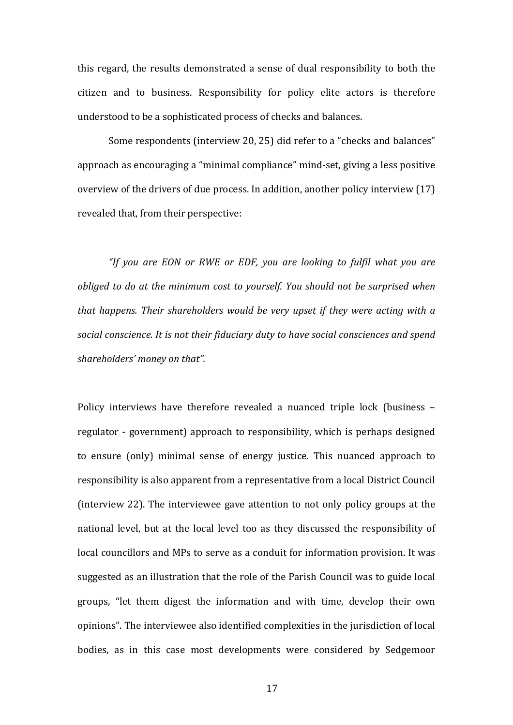this regard, the results demonstrated a sense of dual responsibility to both the citizen and to business. Responsibility for policy elite actors is therefore understood to be a sophisticated process of checks and balances.

Some respondents (interview 20, 25) did refer to a "checks and balances" approach as encouraging a "minimal compliance" mind-set, giving a less positive overview of the drivers of due process. In addition, another policy interview  $(17)$ revealed that, from their perspective:

"If you are EON or RWE or EDF, you are looking to fulfil what you are *obliged to do at the minimum cost to yourself. You should not be surprised when that happens. Their shareholders would be very upset if they were acting with a* social conscience. It is not their fiduciary duty to have social consciences and spend shareholders' money on that".

Policy interviews have therefore revealed a nuanced triple lock (business – regulator - government) approach to responsibility, which is perhaps designed to ensure (only) minimal sense of energy justice. This nuanced approach to responsibility is also apparent from a representative from a local District Council (interview 22). The interviewee gave attention to not only policy groups at the national level, but at the local level too as they discussed the responsibility of local councillors and MPs to serve as a conduit for information provision. It was suggested as an illustration that the role of the Parish Council was to guide local groups, "let them digest the information and with time, develop their own opinions". The interviewee also identified complexities in the jurisdiction of local bodies, as in this case most developments were considered by Sedgemoor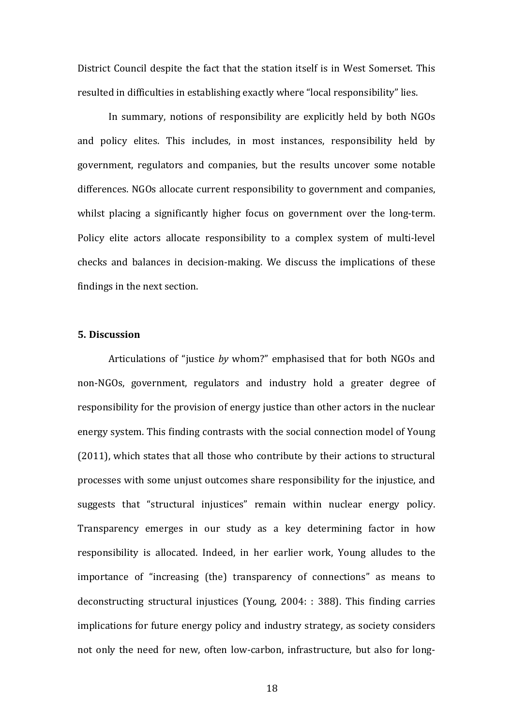District Council despite the fact that the station itself is in West Somerset. This resulted in difficulties in establishing exactly where "local responsibility" lies.

In summary, notions of responsibility are explicitly held by both NGOs and policy elites. This includes, in most instances, responsibility held by government, regulators and companies, but the results uncover some notable differences. NGOs allocate current responsibility to government and companies, whilst placing a significantly higher focus on government over the long-term. Policy elite actors allocate responsibility to a complex system of multi-level checks and balances in decision-making. We discuss the implications of these findings in the next section.

# **5. Discussion**

Articulations of "justice by whom?" emphasised that for both NGOs and non-NGOs, government, regulators and industry hold a greater degree of responsibility for the provision of energy justice than other actors in the nuclear energy system. This finding contrasts with the social connection model of Young  $(2011)$ , which states that all those who contribute by their actions to structural processes with some unjust outcomes share responsibility for the injustice, and suggests that "structural injustices" remain within nuclear energy policy. Transparency emerges in our study as a key determining factor in how responsibility is allocated. Indeed, in her earlier work, Young alludes to the importance of "increasing (the) transparency of connections" as means to deconstructing structural injustices (Young,  $2004: : 388$ ). This finding carries implications for future energy policy and industry strategy, as society considers not only the need for new, often low-carbon, infrastructure, but also for long-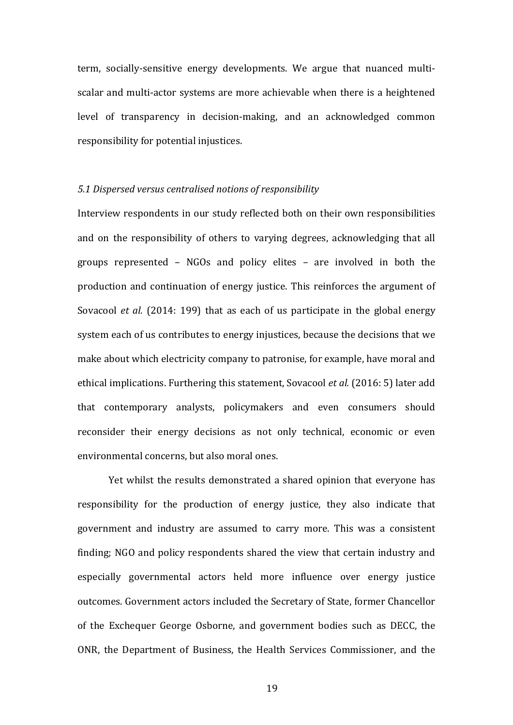term, socially-sensitive energy developments. We argue that nuanced multiscalar and multi-actor systems are more achievable when there is a heightened level of transparency in decision-making, and an acknowledged common responsibility for potential injustices.

#### *5.1 Dispersed versus centralised notions of responsibility*

Interview respondents in our study reflected both on their own responsibilities and on the responsibility of others to varying degrees, acknowledging that all groups represented  $-$  NGOs and policy elites  $-$  are involved in both the production and continuation of energy justice. This reinforces the argument of Sovacool *et al.* (2014: 199) that as each of us participate in the global energy system each of us contributes to energy injustices, because the decisions that we make about which electricity company to patronise, for example, have moral and ethical implications. Furthering this statement, Sovacool *et al.* (2016: 5) later add that contemporary analysts, policymakers and even consumers should reconsider their energy decisions as not only technical, economic or even environmental concerns, but also moral ones.

Yet whilst the results demonstrated a shared opinion that everyone has responsibility for the production of energy justice, they also indicate that government and industry are assumed to carry more. This was a consistent finding; NGO and policy respondents shared the view that certain industry and especially governmental actors held more influence over energy justice outcomes. Government actors included the Secretary of State, former Chancellor of the Exchequer George Osborne, and government bodies such as DECC, the ONR, the Department of Business, the Health Services Commissioner, and the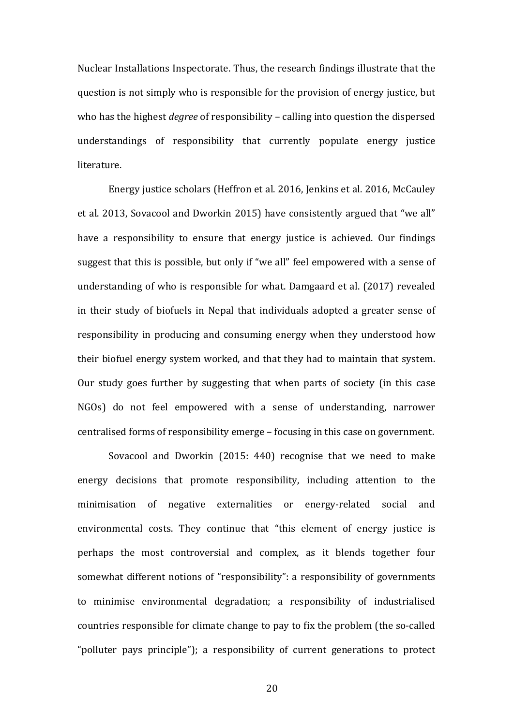Nuclear Installations Inspectorate. Thus, the research findings illustrate that the question is not simply who is responsible for the provision of energy justice, but who has the highest *degree* of responsibility – calling into question the dispersed understandings of responsibility that currently populate energy justice literature. 

Energy justice scholars (Heffron et al. 2016, Jenkins et al. 2016, McCauley et al. 2013, Sovacool and Dworkin 2015) have consistently argued that "we all" have a responsibility to ensure that energy justice is achieved. Our findings suggest that this is possible, but only if "we all" feel empowered with a sense of understanding of who is responsible for what. Damgaard et al. (2017) revealed in their study of biofuels in Nepal that individuals adopted a greater sense of responsibility in producing and consuming energy when they understood how their biofuel energy system worked, and that they had to maintain that system. Our study goes further by suggesting that when parts of society (in this case NGOs) do not feel empowered with a sense of understanding, narrower centralised forms of responsibility emerge – focusing in this case on government.

Sovacool and Dworkin  $(2015: 440)$  recognise that we need to make energy decisions that promote responsibility, including attention to the minimisation of negative externalities or energy-related social and environmental costs. They continue that "this element of energy justice is perhaps the most controversial and complex, as it blends together four somewhat different notions of "responsibility": a responsibility of governments to minimise environmental degradation; a responsibility of industrialised countries responsible for climate change to pay to fix the problem (the so-called "polluter pays principle"); a responsibility of current generations to protect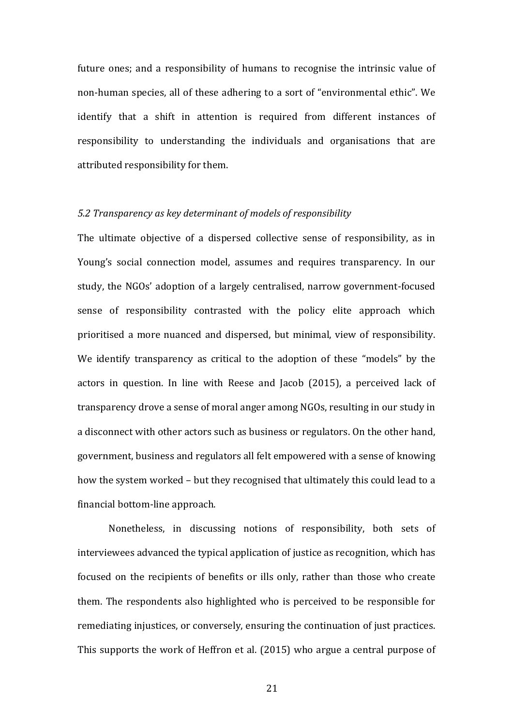future ones; and a responsibility of humans to recognise the intrinsic value of non-human species, all of these adhering to a sort of "environmental ethic". We identify that a shift in attention is required from different instances of responsibility to understanding the individuals and organisations that are attributed responsibility for them.

## *5.2 Transparency as key determinant of models of responsibility*

The ultimate objective of a dispersed collective sense of responsibility, as in Young's social connection model, assumes and requires transparency. In our study, the NGOs' adoption of a largely centralised, narrow government-focused sense of responsibility contrasted with the policy elite approach which prioritised a more nuanced and dispersed, but minimal, view of responsibility. We identify transparency as critical to the adoption of these "models" by the actors in question. In line with Reese and Jacob (2015), a perceived lack of transparency drove a sense of moral anger among NGOs, resulting in our study in a disconnect with other actors such as business or regulators. On the other hand, government, business and regulators all felt empowered with a sense of knowing how the system worked - but they recognised that ultimately this could lead to a financial bottom-line approach.

Nonetheless, in discussing notions of responsibility, both sets of interviewees advanced the typical application of justice as recognition, which has focused on the recipients of benefits or ills only, rather than those who create them. The respondents also highlighted who is perceived to be responsible for remediating injustices, or conversely, ensuring the continuation of just practices. This supports the work of Heffron et al. (2015) who argue a central purpose of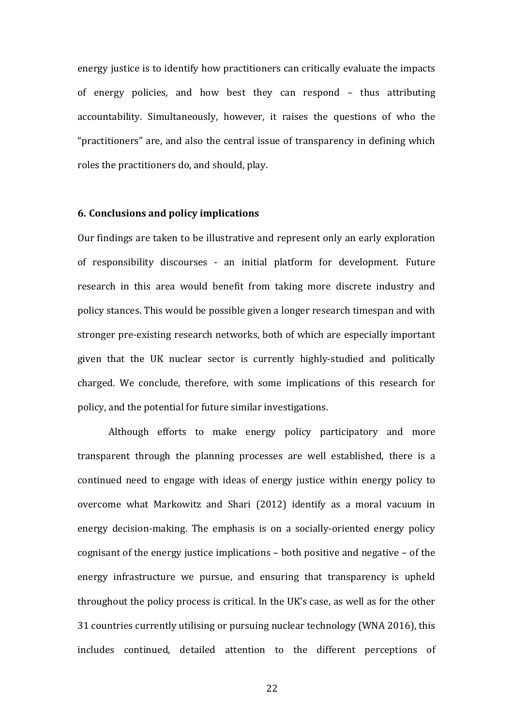energy justice is to identify how practitioners can critically evaluate the impacts of energy policies, and how best they can respond – thus attributing accountability. Simultaneously, however, it raises the questions of who the "practitioners" are, and also the central issue of transparency in defining which roles the practitioners do, and should, play.

#### **6. Conclusions and policy implications**

Our findings are taken to be illustrative and represent only an early exploration of responsibility discourses - an initial platform for development. Future research in this area would benefit from taking more discrete industry and policy stances. This would be possible given a longer research timespan and with stronger pre-existing research networks, both of which are especially important given that the UK nuclear sector is currently highly-studied and politically charged. We conclude, therefore, with some implications of this research for policy, and the potential for future similar investigations.

Although efforts to make energy policy participatory and more transparent through the planning processes are well established, there is a continued need to engage with ideas of energy justice within energy policy to overcome what Markowitz and Shari (2012) identify as a moral vacuum in energy decision-making. The emphasis is on a socially-oriented energy policy cognisant of the energy justice implications  $-$  both positive and negative  $-$  of the energy infrastructure we pursue, and ensuring that transparency is upheld throughout the policy process is critical. In the UK's case, as well as for the other 31 countries currently utilising or pursuing nuclear technology (WNA 2016), this includes continued, detailed attention to the different perceptions of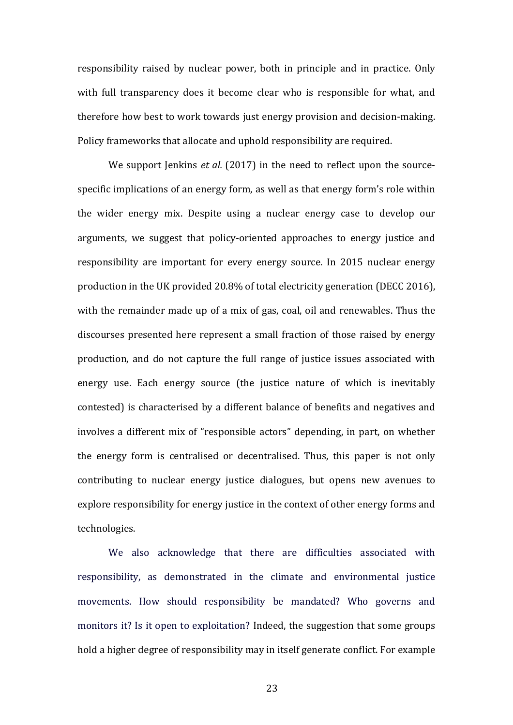responsibility raised by nuclear power, both in principle and in practice. Only with full transparency does it become clear who is responsible for what, and therefore how best to work towards just energy provision and decision-making. Policy frameworks that allocate and uphold responsibility are required.

We support Jenkins *et al.* (2017) in the need to reflect upon the sourcespecific implications of an energy form, as well as that energy form's role within the wider energy mix. Despite using a nuclear energy case to develop our arguments, we suggest that policy-oriented approaches to energy justice and responsibility are important for every energy source. In 2015 nuclear energy production in the UK provided 20.8% of total electricity generation (DECC 2016), with the remainder made up of a mix of gas, coal, oil and renewables. Thus the discourses presented here represent a small fraction of those raised by energy production, and do not capture the full range of justice issues associated with energy use. Each energy source (the justice nature of which is inevitably contested) is characterised by a different balance of benefits and negatives and involves a different mix of "responsible actors" depending, in part, on whether the energy form is centralised or decentralised. Thus, this paper is not only contributing to nuclear energy justice dialogues, but opens new avenues to explore responsibility for energy justice in the context of other energy forms and technologies.

We also acknowledge that there are difficulties associated with responsibility, as demonstrated in the climate and environmental justice movements. How should responsibility be mandated? Who governs and monitors it? Is it open to exploitation? Indeed, the suggestion that some groups hold a higher degree of responsibility may in itself generate conflict. For example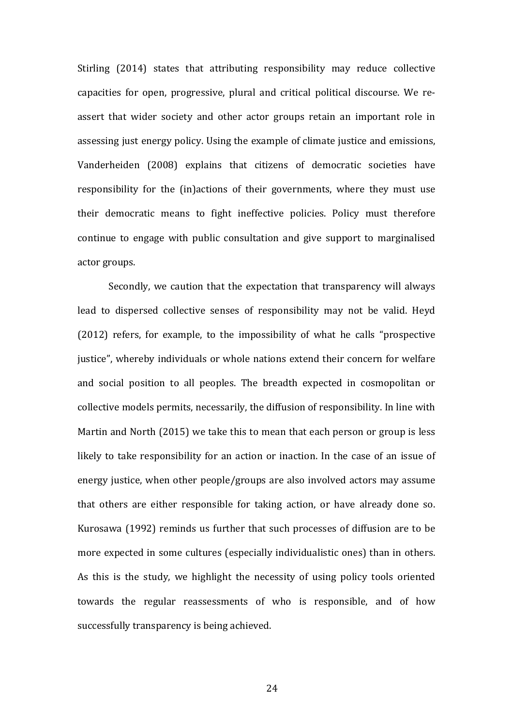Stirling (2014) states that attributing responsibility may reduce collective capacities for open, progressive, plural and critical political discourse. We reassert that wider society and other actor groups retain an important role in assessing just energy policy. Using the example of climate justice and emissions, Vanderheiden (2008) explains that citizens of democratic societies have responsibility for the (in)actions of their governments, where they must use their democratic means to fight ineffective policies. Policy must therefore continue to engage with public consultation and give support to marginalised actor groups.

Secondly, we caution that the expectation that transparency will always lead to dispersed collective senses of responsibility may not be valid. Heyd  $(2012)$  refers, for example, to the impossibility of what he calls "prospective justice", whereby individuals or whole nations extend their concern for welfare and social position to all peoples. The breadth expected in cosmopolitan or collective models permits, necessarily, the diffusion of responsibility. In line with Martin and North  $(2015)$  we take this to mean that each person or group is less likely to take responsibility for an action or inaction. In the case of an issue of energy justice, when other people/groups are also involved actors may assume that others are either responsible for taking action, or have already done so. Kurosawa (1992) reminds us further that such processes of diffusion are to be more expected in some cultures (especially individualistic ones) than in others. As this is the study, we highlight the necessity of using policy tools oriented towards the regular reassessments of who is responsible, and of how successfully transparency is being achieved.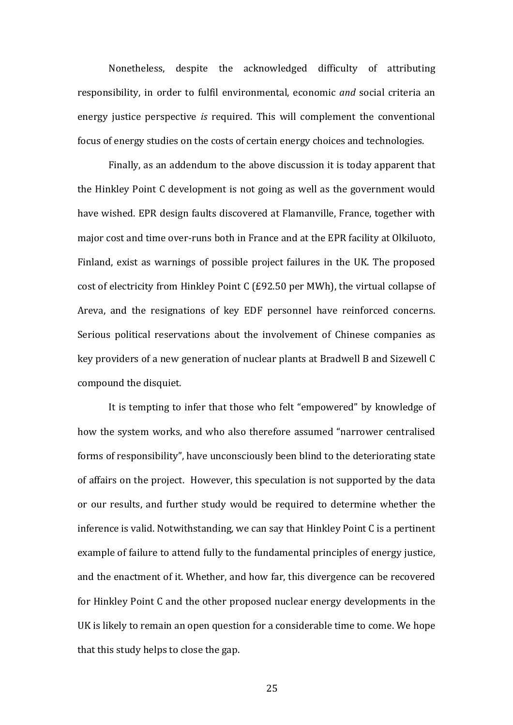Nonetheless, despite the acknowledged difficulty of attributing responsibility, in order to fulfil environmental, economic *and* social criteria an energy justice perspective *is* required. This will complement the conventional focus of energy studies on the costs of certain energy choices and technologies.

Finally, as an addendum to the above discussion it is today apparent that the Hinkley Point C development is not going as well as the government would have wished. EPR design faults discovered at Flamanville, France, together with major cost and time over-runs both in France and at the EPR facility at Olkiluoto, Finland, exist as warnings of possible project failures in the UK. The proposed cost of electricity from Hinkley Point C (£92.50 per MWh), the virtual collapse of Areva, and the resignations of key EDF personnel have reinforced concerns. Serious political reservations about the involvement of Chinese companies as key providers of a new generation of nuclear plants at Bradwell B and Sizewell C compound the disquiet.

It is tempting to infer that those who felt "empowered" by knowledge of how the system works, and who also therefore assumed "narrower centralised forms of responsibility", have unconsciously been blind to the deteriorating state of affairs on the project. However, this speculation is not supported by the data or our results, and further study would be required to determine whether the inference is valid. Notwithstanding, we can say that Hinkley Point  $C$  is a pertinent example of failure to attend fully to the fundamental principles of energy justice, and the enactment of it. Whether, and how far, this divergence can be recovered for Hinkley Point C and the other proposed nuclear energy developments in the UK is likely to remain an open question for a considerable time to come. We hope that this study helps to close the gap.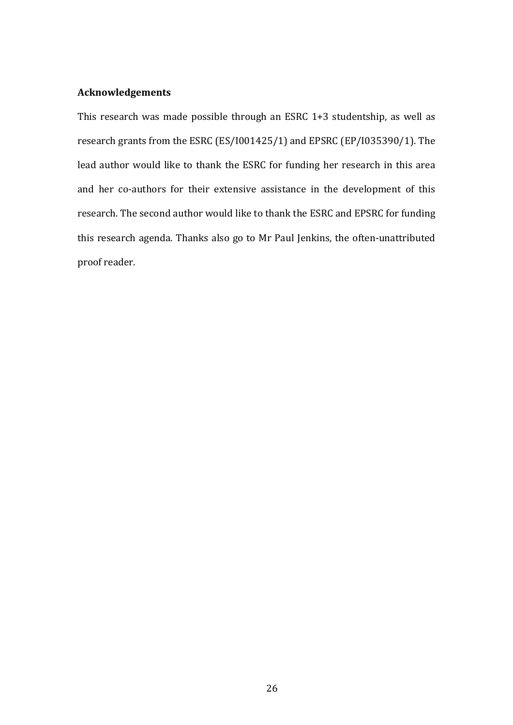# **Acknowledgements**

This research was made possible through an ESRC  $1+3$  studentship, as well as research grants from the ESRC (ES/I001425/1) and EPSRC (EP/I035390/1). The lead author would like to thank the ESRC for funding her research in this area and her co-authors for their extensive assistance in the development of this research. The second author would like to thank the ESRC and EPSRC for funding this research agenda. Thanks also go to Mr Paul Jenkins, the often-unattributed proof reader.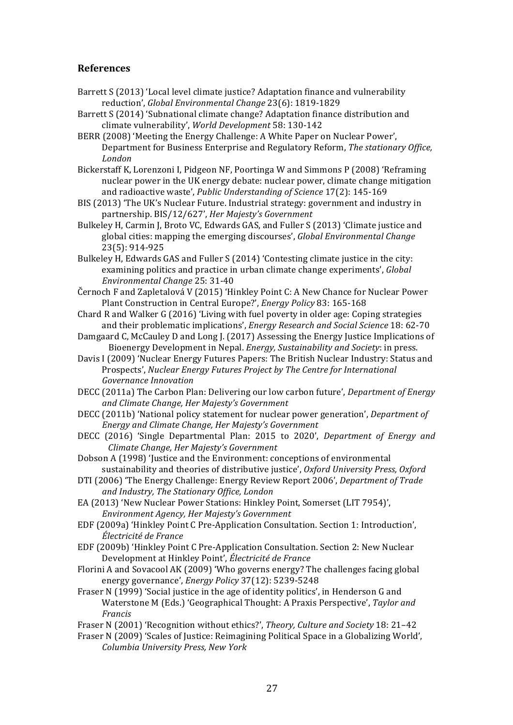## **References**

- Barrett S (2013) 'Local level climate justice? Adaptation finance and vulnerability reduction', *Global Environmental Change* 23(6): 1819-1829
- Barrett S (2014) 'Subnational climate change? Adaptation finance distribution and climate vulnerability', *World Development* 58: 130-142
- BERR (2008) 'Meeting the Energy Challenge: A White Paper on Nuclear Power', Department for Business Enterprise and Regulatory Reform, *The stationary Office, London*
- Bickerstaff K, Lorenzoni I, Pidgeon NF, Poortinga W and Simmons P (2008) 'Reframing nuclear power in the UK energy debate: nuclear power, climate change mitigation and radioactive waste', Public Understanding of Science 17(2): 145-169
- BIS (2013) 'The UK's Nuclear Future. Industrial strategy: government and industry in partnership. BIS/12/627', *Her Majesty's Government*
- Bulkeley H, Carmin J, Broto VC, Edwards GAS, and Fuller S (2013) 'Climate justice and global cities: mapping the emerging discourses', *Global Environmental Change* 23(5): 914-925
- Bulkeley H, Edwards GAS and Fuller S (2014) 'Contesting climate justice in the city: examining politics and practice in urban climate change experiments', *Global Environmental Change* 25: 31-40
- Černoch F and Zapletalová V (2015) 'Hinkley Point C: A New Chance for Nuclear Power Plant Construction in Central Europe?', *Energy Policy* 83: 165-168
- Chard R and Walker G (2016) 'Living with fuel poverty in older age: Coping strategies and their problematic implications', *Energy Research and Social Science* 18: 62-70
- Damgaard C, McCauley D and Long J. (2017) Assessing the Energy Justice Implications of Bioenergy Development in Nepal. *Energy, Sustainability and Society*: in press.
- Davis I (2009) 'Nuclear Energy Futures Papers: The British Nuclear Industry: Status and Prospects', *Nuclear Energy Futures Project by The Centre for International Governance Innovation*
- DECC (2011a) The Carbon Plan: Delivering our low carbon future', *Department of Energy and Climate Change, Her Majesty's Government*
- DECC (2011b) 'National policy statement for nuclear power generation', *Department of Energy and Climate Change, Her Majesty's Government*
- DECC (2016) 'Single Departmental Plan: 2015 to 2020', *Department of Energy and Climate Change, Her Majesty's Government*
- Dobson A (1998) 'Justice and the Environment: conceptions of environmental sustainability and theories of distributive justice', Oxford University Press, Oxford
- DTI (2006) 'The Energy Challenge: Energy Review Report 2006', *Department of Trade and Industry, The Stationary Office, London*
- EA (2013) 'New Nuclear Power Stations: Hinkley Point, Somerset (LIT 7954)', *Environment Agency, Her Majesty's Government*
- EDF (2009a) 'Hinkley Point C Pre-Application Consultation. Section 1: Introduction', *Électricité de France*
- EDF (2009b) 'Hinkley Point C Pre-Application Consultation. Section 2: New Nuclear Development at Hinkley Point', Électricité de France
- Florini A and Sovacool AK (2009) 'Who governs energy? The challenges facing global energy governance', *Energy Policy* 37(12): 5239-5248
- Fraser N (1999) 'Social justice in the age of identity politics', in Henderson G and Waterstone M (Eds.) 'Geographical Thought: A Praxis Perspective', *Taylor and Francis*
- Fraser N (2001) 'Recognition without ethics?', *Theory, Culture and Society* 18: 21-42
- Fraser N (2009) 'Scales of Justice: Reimagining Political Space in a Globalizing World', *Columbia University Press, New York*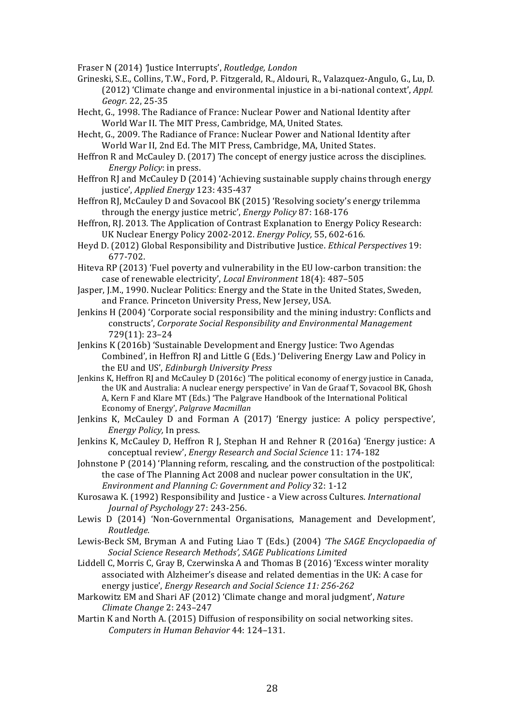Fraser N (2014) *'*Justice Interrupts', *Routledge, London*

Grineski, S.E., Collins, T.W., Ford, P. Fitzgerald, R., Aldouri, R., Valazquez-Angulo, G., Lu, D. (2012) 'Climate change and environmental injustice in a bi-national context', *Appl. Geogr.* 22, 25-35

Hecht, G., 1998. The Radiance of France: Nuclear Power and National Identity after World War II. The MIT Press, Cambridge, MA, United States.

Hecht, G., 2009. The Radiance of France: Nuclear Power and National Identity after World War II, 2nd Ed. The MIT Press, Cambridge, MA, United States.

Heffron  $R$  and McCauley D. (2017) The concept of energy justice across the disciplines. *Energy Policy*: in press.

Heffron RJ and McCauley D (2014) 'Achieving sustainable supply chains through energy justice', *Applied Energy* 123: 435-437

Heffron RJ, McCauley D and Sovacool BK (2015) 'Resolving society's energy trilemma through the energy justice metric', *Energy Policy* 87: 168-176

Heffron, RJ. 2013. The Application of Contrast Explanation to Energy Policy Research: UK Nuclear Energy Policy 2002-2012. *Energy Policy*, 55, 602-616.

Heyd D. (2012) Global Responsibility and Distributive Justice. *Ethical Perspectives* 19: 677-702.

Hiteva RP (2013) 'Fuel poverty and vulnerability in the EU low-carbon transition: the case of renewable electricity', *Local Environment* 18(4): 487-505

Jasper. I.M., 1990. Nuclear Politics: Energy and the State in the United States, Sweden, and France. Princeton University Press, New Jersey, USA.

Jenkins H (2004) 'Corporate social responsibility and the mining industry: Conflicts and constructs', Corporate Social Responsibility and *Environmental Management* 729(11): 23–24

Jenkins K (2016b) 'Sustainable Development and Energy Justice: Two Agendas Combined', in Heffron RI and Little G (Eds.) 'Delivering Energy Law and Policy in the EU and US', *Edinburgh University Press* 

Jenkins K, Heffron RJ and McCauley D (2016c) 'The political economy of energy justice in Canada, the UK and Australia: A nuclear energy perspective' in Van de Graaf T, Sovacool BK, Ghosh A, Kern F and Klare MT (Eds.) 'The Palgrave Handbook of the International Political Economy of Energy', *Palgrave Macmillan*

Jenkins K, McCauley D and Forman A (2017) 'Energy justice: A policy perspective', *Energy Policy, In press.* 

Jenkins K, McCauley D, Heffron R J, Stephan H and Rehner R (2016a) 'Energy justice: A conceptual review', *Energy Research and Social Science* 11: 174-182

Johnstone P (2014) 'Planning reform, rescaling, and the construction of the postpolitical: the case of The Planning Act 2008 and nuclear power consultation in the UK', *Environment and Planning C: Government and Policy* 32: 1-12

Kurosawa K. (1992) Responsibility and Justice - a View across Cultures. *International Journal of Psychology* 27: 243-256.

Lewis D (2014) 'Non-Governmental Organisations, Management and Development', *Routledge.* 

Lewis-Beck SM, Bryman A and Futing Liao T (Eds.) (2004) *'The SAGE Encyclopaedia of Social Science Research Methods', SAGE Publications Limited*

Liddell C, Morris C, Gray B, Czerwinska A and Thomas B (2016) 'Excess winter morality associated with Alzheimer's disease and related dementias in the UK: A case for energy justice', *Energy Research and Social Science 11: 256-262* 

Markowitz EM and Shari AF (2012) 'Climate change and moral judgment', Nature *Climate Change* 2: 243–247 

Martin K and North A. (2015) Diffusion of responsibility on social networking sites. *Computers in Human Behavior* 44: 124-131.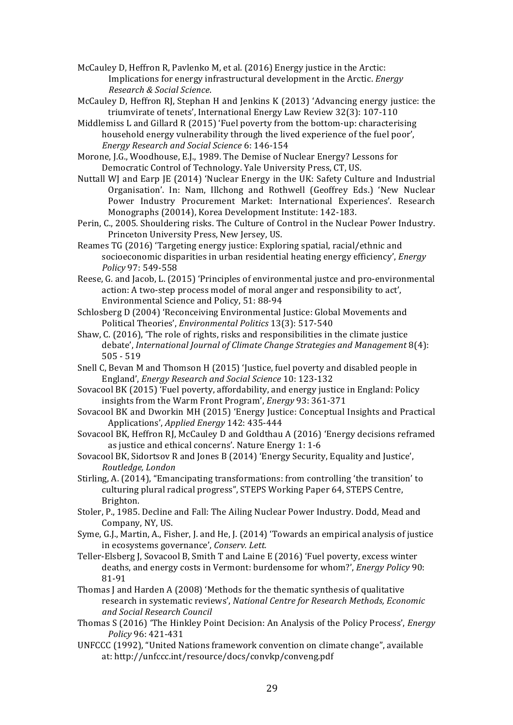McCauley D, Heffron R, Pavlenko M, et al.  $(2016)$  Energy justice in the Arctic: Implications for energy infrastructural development in the Arctic. *Energy Research & Social Science*.

McCauley D, Heffron RJ, Stephan H and Jenkins K (2013) 'Advancing energy justice: the triumvirate of tenets', International Energy Law Review 32(3): 107-110

Middlemiss L and Gillard R (2015) 'Fuel poverty from the bottom-up: characterising household energy vulnerability through the lived experience of the fuel poor', *Energy Research and Social Science* 6: 146-154

Morone, I.G., Woodhouse, E.J., 1989. The Demise of Nuclear Energy? Lessons for Democratic Control of Technology. Yale University Press, CT, US.

Nuttall WJ and Earp JE  $(2014)$  'Nuclear Energy in the UK: Safety Culture and Industrial Organisation'. In: Nam, Illchong and Rothwell (Geoffrey Eds.) 'New Nuclear Power Industry Procurement Market: International Experiences'. Research Monographs (20014), Korea Development Institute: 142-183.

Perin, C., 2005. Shouldering risks. The Culture of Control in the Nuclear Power Industry. Princeton University Press, New Jersey, US.

Reames TG (2016) 'Targeting energy justice: Exploring spatial, racial/ethnic and socioeconomic disparities in urban residential heating energy efficiency', *Energy Policy* 97: 549-558

Reese, G. and Jacob, L. (2015) 'Principles of environmental justce and pro-environmental action: A two-step process model of moral anger and responsibility to act'. Environmental Science and Policy, 51: 88-94

Schlosberg D (2004) 'Reconceiving Environmental Justice: Global Movements and Political Theories', *Environmental Politics* 13(3): 517-540

Shaw, C. (2016), 'The role of rights, risks and responsibilities in the climate justice debate', *International Journal of Climate Change Strategies and Management* 8(4):  $505 - 519$ 

Snell C, Bevan M and Thomson H (2015) 'Justice, fuel poverty and disabled people in England', *Energy Research and Social Science* 10: 123-132

Sovacool BK (2015) 'Fuel poverty, affordability, and energy justice in England: Policy insights from the Warm Front Program', *Energy* 93: 361-371

Sovacool BK and Dworkin MH (2015) 'Energy Justice: Conceptual Insights and Practical Applications', *Applied Energy* 142: 435-444

Sovacool BK, Heffron RJ, McCauley D and Goldthau A (2016) 'Energy decisions reframed as justice and ethical concerns'. Nature Energy 1: 1-6

Sovacool BK, Sidortsov R and Jones B (2014) 'Energy Security, Equality and Justice', *Routledge, London*

Stirling, A. (2014), "Emancipating transformations: from controlling 'the transition' to culturing plural radical progress", STEPS Working Paper 64, STEPS Centre, Brighton.

Stoler, P., 1985. Decline and Fall: The Ailing Nuclear Power Industry. Dodd, Mead and Company, NY, US.

Syme, G.I., Martin, A., Fisher, J. and He, J. (2014) 'Towards an empirical analysis of justice in ecosystems governance', *Conserv. Lett.* 

Teller-Elsberg J, Sovacool B, Smith T and Laine E (2016) 'Fuel poverty, excess winter deaths, and energy costs in Vermont: burdensome for whom?', *Energy Policy* 90: 81-91

Thomas I and Harden A (2008) 'Methods for the thematic synthesis of qualitative research in systematic reviews', *National Centre for Research Methods, Economic and Social Research Council*

Thomas S (2016) 'The Hinkley Point Decision: An Analysis of the Policy Process', *Energy Policy* 96: 421-431

UNFCCC (1992), "United Nations framework convention on climate change", available at: http://unfccc.int/resource/docs/convkp/conveng.pdf